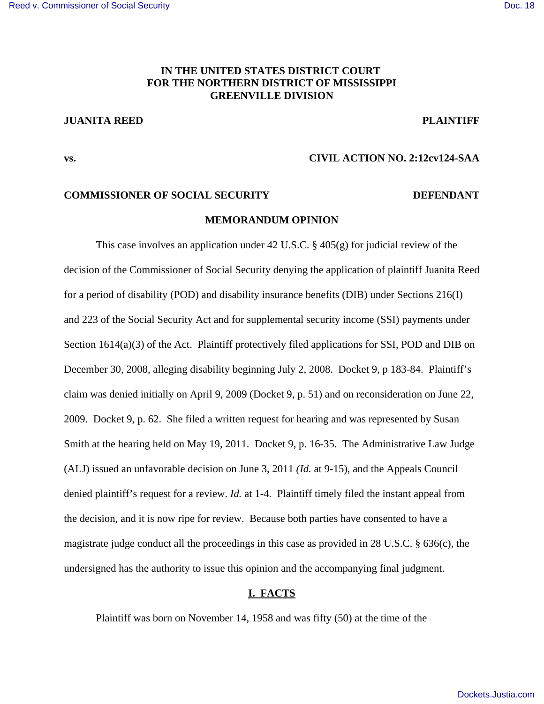# **IN THE UNITED STATES DISTRICT COURT FOR THE NORTHERN DISTRICT OF MISSISSIPPI GREENVILLE DIVISION**

# **JUANITA REED PLAINTIFF**

## **vs. CIVIL ACTION NO. 2:12cv124-SAA**

#### **COMMISSIONER OF SOCIAL SECURITY DEFENDANT**

### **MEMORANDUM OPINION**

This case involves an application under 42 U.S.C. § 405(g) for judicial review of the decision of the Commissioner of Social Security denying the application of plaintiff Juanita Reed for a period of disability (POD) and disability insurance benefits (DIB) under Sections 216(I) and 223 of the Social Security Act and for supplemental security income (SSI) payments under Section 1614(a)(3) of the Act. Plaintiff protectively filed applications for SSI, POD and DIB on December 30, 2008, alleging disability beginning July 2, 2008. Docket 9, p 183-84. Plaintiff's claim was denied initially on April 9, 2009 (Docket 9, p. 51) and on reconsideration on June 22, 2009. Docket 9, p. 62. She filed a written request for hearing and was represented by Susan Smith at the hearing held on May 19, 2011. Docket 9, p. 16-35. The Administrative Law Judge (ALJ) issued an unfavorable decision on June 3, 2011 *(Id.* at 9-15), and the Appeals Council denied plaintiff's request for a review. *Id.* at 1-4. Plaintiff timely filed the instant appeal from the decision, and it is now ripe for review. Because both parties have consented to have a magistrate judge conduct all the proceedings in this case as provided in 28 U.S.C. § 636(c), the undersigned has the authority to issue this opinion and the accompanying final judgment.

## **I. FACTS**

Plaintiff was born on November 14, 1958 and was fifty (50) at the time of the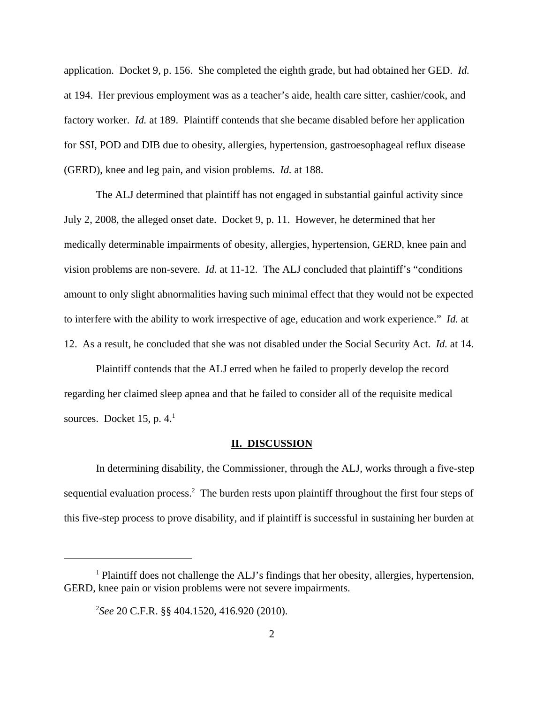application. Docket 9, p. 156. She completed the eighth grade, but had obtained her GED. *Id.* at 194. Her previous employment was as a teacher's aide, health care sitter, cashier/cook, and factory worker. *Id.* at 189. Plaintiff contends that she became disabled before her application for SSI, POD and DIB due to obesity, allergies, hypertension, gastroesophageal reflux disease (GERD), knee and leg pain, and vision problems. *Id.* at 188.

The ALJ determined that plaintiff has not engaged in substantial gainful activity since July 2, 2008, the alleged onset date. Docket 9, p. 11. However, he determined that her medically determinable impairments of obesity, allergies, hypertension, GERD, knee pain and vision problems are non-severe. *Id.* at 11-12. The ALJ concluded that plaintiff's "conditions amount to only slight abnormalities having such minimal effect that they would not be expected to interfere with the ability to work irrespective of age, education and work experience." *Id.* at 12. As a result, he concluded that she was not disabled under the Social Security Act. *Id.* at 14.

Plaintiff contends that the ALJ erred when he failed to properly develop the record regarding her claimed sleep apnea and that he failed to consider all of the requisite medical sources. Docket 15, p.  $4<sup>1</sup>$ .

#### **II. DISCUSSION**

In determining disability, the Commissioner, through the ALJ, works through a five-step sequential evaluation process.<sup>2</sup> The burden rests upon plaintiff throughout the first four steps of this five-step process to prove disability, and if plaintiff is successful in sustaining her burden at

<sup>&</sup>lt;sup>1</sup> Plaintiff does not challenge the ALJ's findings that her obesity, allergies, hypertension, GERD, knee pain or vision problems were not severe impairments.

<sup>2</sup> *See* 20 C.F.R. §§ 404.1520, 416.920 (2010).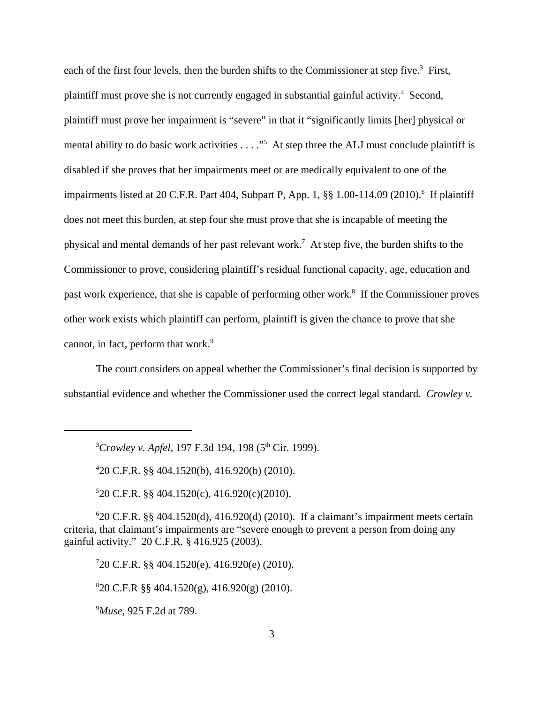each of the first four levels, then the burden shifts to the Commissioner at step five.<sup>3</sup> First, plaintiff must prove she is not currently engaged in substantial gainful activity.<sup>4</sup> Second, plaintiff must prove her impairment is "severe" in that it "significantly limits [her] physical or mental ability to do basic work activities . . . ."<sup>5</sup> At step three the ALJ must conclude plaintiff is disabled if she proves that her impairments meet or are medically equivalent to one of the impairments listed at 20 C.F.R. Part 404, Subpart P, App. 1, §§ 1.00-114.09 (2010).<sup>6</sup> If plaintiff does not meet this burden, at step four she must prove that she is incapable of meeting the physical and mental demands of her past relevant work.<sup>7</sup> At step five, the burden shifts to the Commissioner to prove, considering plaintiff's residual functional capacity, age, education and past work experience, that she is capable of performing other work.<sup>8</sup> If the Commissioner proves other work exists which plaintiff can perform, plaintiff is given the chance to prove that she cannot, in fact, perform that work. $9$ 

The court considers on appeal whether the Commissioner's final decision is supported by substantial evidence and whether the Commissioner used the correct legal standard. *Crowley v.*

<sup>3</sup>Crowley v. Apfel, 197 F.3d 194, 198 (5<sup>th</sup> Cir. 1999).

4 20 C.F.R. §§ 404.1520(b), 416.920(b) (2010).

5 20 C.F.R. §§ 404.1520(c), 416.920(c)(2010).

6 20 C.F.R. §§ 404.1520(d), 416.920(d) (2010). If a claimant's impairment meets certain criteria, that claimant's impairments are "severe enough to prevent a person from doing any gainful activity." 20 C.F.R. § 416.925 (2003).

7 20 C.F.R. §§ 404.1520(e), 416.920(e) (2010).

8 20 C.F.R §§ 404.1520(g), 416.920(g) (2010).

<sup>9</sup>*Muse*, 925 F.2d at 789.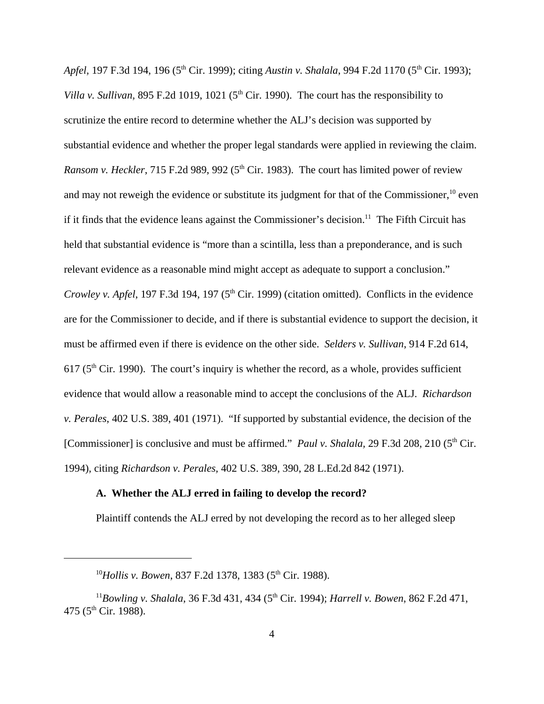*Apfel,* 197 F.3d 194, 196 (5<sup>th</sup> Cir. 1999); citing *Austin v. Shalala*, 994 F.2d 1170 (5<sup>th</sup> Cir. 1993); *Villa v. Sullivan,* 895 F.2d 1019, 1021 ( $5<sup>th</sup>$  Cir. 1990). The court has the responsibility to scrutinize the entire record to determine whether the ALJ's decision was supported by substantial evidence and whether the proper legal standards were applied in reviewing the claim. *Ransom v. Heckler*, 715 F.2d 989, 992 (5<sup>th</sup> Cir. 1983). The court has limited power of review and may not reweigh the evidence or substitute its judgment for that of the Commissioner.<sup>10</sup> even if it finds that the evidence leans against the Commissioner's decision.<sup>11</sup> The Fifth Circuit has held that substantial evidence is "more than a scintilla, less than a preponderance, and is such relevant evidence as a reasonable mind might accept as adequate to support a conclusion." *Crowley v. Apfel*, 197 F.3d 194, 197 (5<sup>th</sup> Cir. 1999) (citation omitted). Conflicts in the evidence are for the Commissioner to decide, and if there is substantial evidence to support the decision, it must be affirmed even if there is evidence on the other side. *Selders v. Sullivan*, 914 F.2d 614,  $617$  ( $5<sup>th</sup>$  Cir. 1990). The court's inquiry is whether the record, as a whole, provides sufficient evidence that would allow a reasonable mind to accept the conclusions of the ALJ. *Richardson v. Perales*, 402 U.S. 389, 401 (1971). "If supported by substantial evidence, the decision of the [Commissioner] is conclusive and must be affirmed." *Paul v. Shalala,* 29 F.3d 208, 210 (5<sup>th</sup> Cir. 1994), citing *Richardson v. Perales,* 402 U.S. 389, 390, 28 L.Ed.2d 842 (1971).

## **A. Whether the ALJ erred in failing to develop the record?**

Plaintiff contends the ALJ erred by not developing the record as to her alleged sleep

<sup>&</sup>lt;sup>10</sup>Hollis v. Bowen, 837 F.2d 1378, 1383 (5<sup>th</sup> Cir. 1988).

<sup>&</sup>lt;sup>11</sup>Bowling v. Shalala, 36 F.3d 431, 434 (5<sup>th</sup> Cir. 1994); *Harrell v. Bowen*, 862 F.2d 471, 475 ( $5^{\text{th}}$  Cir. 1988).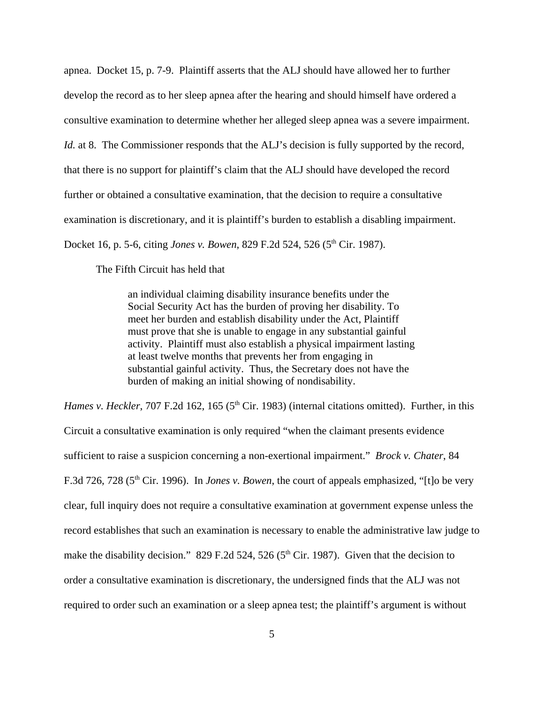apnea. Docket 15, p. 7-9. Plaintiff asserts that the ALJ should have allowed her to further develop the record as to her sleep apnea after the hearing and should himself have ordered a consultive examination to determine whether her alleged sleep apnea was a severe impairment. *Id.* at 8. The Commissioner responds that the ALJ's decision is fully supported by the record, that there is no support for plaintiff's claim that the ALJ should have developed the record further or obtained a consultative examination, that the decision to require a consultative examination is discretionary, and it is plaintiff's burden to establish a disabling impairment. Docket 16, p. 5-6, citing *Jones v. Bowen*, 829 F.2d 524, 526 (5<sup>th</sup> Cir. 1987).

The Fifth Circuit has held that

an individual claiming disability insurance benefits under the Social Security Act has the burden of proving her disability. To meet her burden and establish disability under the Act, Plaintiff must prove that she is unable to engage in any substantial gainful activity. Plaintiff must also establish a physical impairment lasting at least twelve months that prevents her from engaging in substantial gainful activity. Thus, the Secretary does not have the burden of making an initial showing of nondisability.

*Hames v. Heckler*, 707 F.2d 162, 165 (5<sup>th</sup> Cir. 1983) (internal citations omitted). Further, in this Circuit a consultative examination is only required "when the claimant presents evidence sufficient to raise a suspicion concerning a non-exertional impairment." *Brock v. Chater*, 84 F.3d 726, 728 (5<sup>th</sup> Cir. 1996). In *Jones v. Bowen*, the court of appeals emphasized, "[t]o be very clear, full inquiry does not require a consultative examination at government expense unless the record establishes that such an examination is necessary to enable the administrative law judge to make the disability decision." 829 F.2d 524, 526 ( $5<sup>th</sup>$  Cir. 1987). Given that the decision to order a consultative examination is discretionary, the undersigned finds that the ALJ was not required to order such an examination or a sleep apnea test; the plaintiff's argument is without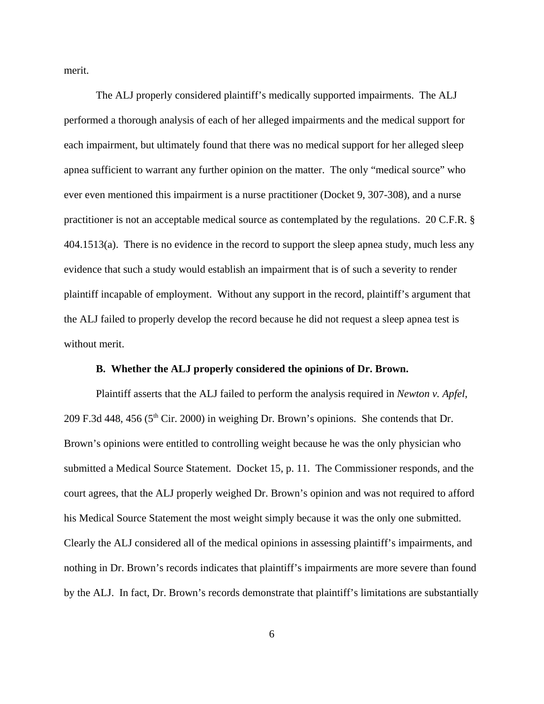merit.

The ALJ properly considered plaintiff's medically supported impairments. The ALJ performed a thorough analysis of each of her alleged impairments and the medical support for each impairment, but ultimately found that there was no medical support for her alleged sleep apnea sufficient to warrant any further opinion on the matter. The only "medical source" who ever even mentioned this impairment is a nurse practitioner (Docket 9, 307-308), and a nurse practitioner is not an acceptable medical source as contemplated by the regulations. 20 C.F.R. § 404.1513(a). There is no evidence in the record to support the sleep apnea study, much less any evidence that such a study would establish an impairment that is of such a severity to render plaintiff incapable of employment. Without any support in the record, plaintiff's argument that the ALJ failed to properly develop the record because he did not request a sleep apnea test is without merit.

### **B. Whether the ALJ properly considered the opinions of Dr. Brown.**

Plaintiff asserts that the ALJ failed to perform the analysis required in *Newton v. Apfel*, 209 F.3d 448, 456 ( $5<sup>th</sup>$  Cir. 2000) in weighing Dr. Brown's opinions. She contends that Dr. Brown's opinions were entitled to controlling weight because he was the only physician who submitted a Medical Source Statement. Docket 15, p. 11. The Commissioner responds, and the court agrees, that the ALJ properly weighed Dr. Brown's opinion and was not required to afford his Medical Source Statement the most weight simply because it was the only one submitted. Clearly the ALJ considered all of the medical opinions in assessing plaintiff's impairments, and nothing in Dr. Brown's records indicates that plaintiff's impairments are more severe than found by the ALJ. In fact, Dr. Brown's records demonstrate that plaintiff's limitations are substantially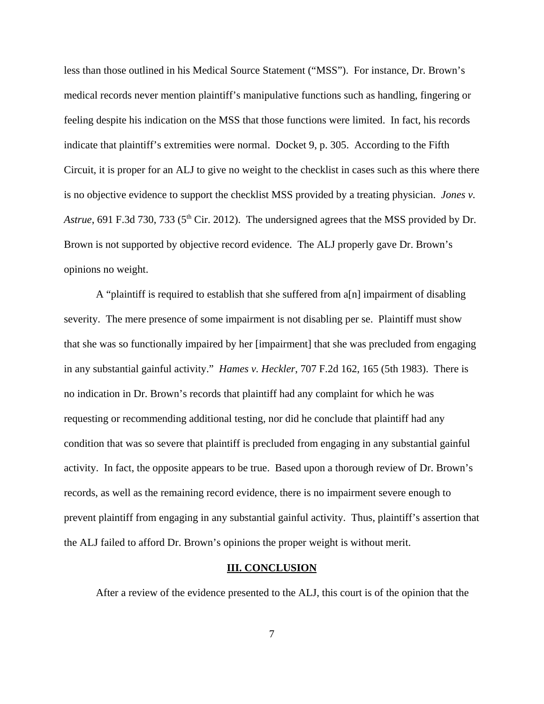less than those outlined in his Medical Source Statement ("MSS"). For instance, Dr. Brown's medical records never mention plaintiff's manipulative functions such as handling, fingering or feeling despite his indication on the MSS that those functions were limited. In fact, his records indicate that plaintiff's extremities were normal. Docket 9, p. 305. According to the Fifth Circuit, it is proper for an ALJ to give no weight to the checklist in cases such as this where there is no objective evidence to support the checklist MSS provided by a treating physician. *Jones v. Astrue*, 691 F.3d 730, 733 (5<sup>th</sup> Cir. 2012). The undersigned agrees that the MSS provided by Dr. Brown is not supported by objective record evidence. The ALJ properly gave Dr. Brown's opinions no weight.

A "plaintiff is required to establish that she suffered from a[n] impairment of disabling severity. The mere presence of some impairment is not disabling per se. Plaintiff must show that she was so functionally impaired by her [impairment] that she was precluded from engaging in any substantial gainful activity." *Hames v. Heckler*, 707 F.2d 162, 165 (5th 1983). There is no indication in Dr. Brown's records that plaintiff had any complaint for which he was requesting or recommending additional testing, nor did he conclude that plaintiff had any condition that was so severe that plaintiff is precluded from engaging in any substantial gainful activity. In fact, the opposite appears to be true. Based upon a thorough review of Dr. Brown's records, as well as the remaining record evidence, there is no impairment severe enough to prevent plaintiff from engaging in any substantial gainful activity. Thus, plaintiff's assertion that the ALJ failed to afford Dr. Brown's opinions the proper weight is without merit.

#### **III. CONCLUSION**

After a review of the evidence presented to the ALJ, this court is of the opinion that the